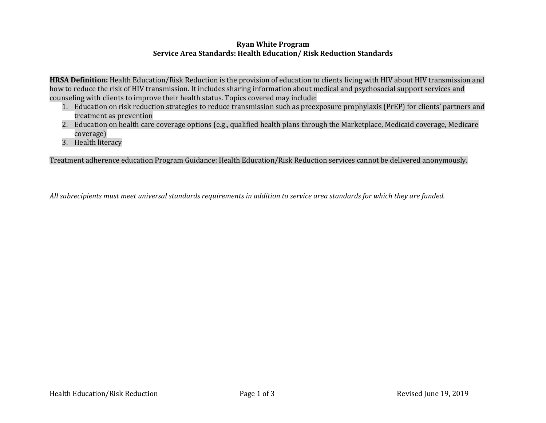## **Ryan White Program Service Area Standards: Health Education/ Risk Reduction Standards**

**HRSA Definition:** Health Education/Risk Reduction is the provision of education to clients living with HIV about HIV transmission and how to reduce the risk of HIV transmission. It includes sharing information about medical and psychosocial support services and counseling with clients to improve their health status. Topics covered may include:

- 1. Education on risk reduction strategies to reduce transmission such as preexposure prophylaxis (PrEP) for clients' partners and treatment as prevention
- 2. Education on health care coverage options (e.g., qualified health plans through the Marketplace, Medicaid coverage, Medicare coverage)
- 3. Health literacy

Treatment adherence education Program Guidance: Health Education/Risk Reduction services cannot be delivered anonymously.

*All subrecipients must meet universal standards requirements in addition to service area standards for which they are funded.*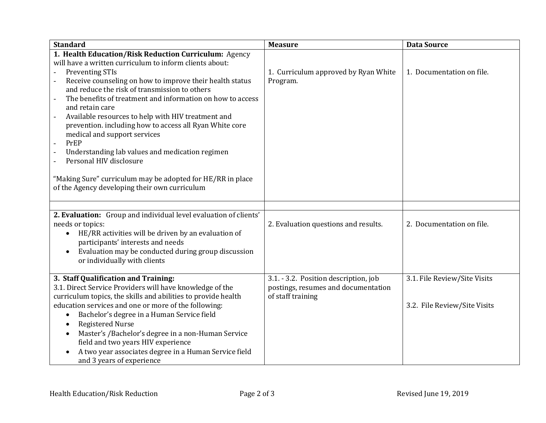| <b>Standard</b>                                                                                                                                                                                                                                                                                                                                                                                                                                                                                                                                                                                                                               | <b>Measure</b>                                                                                    | <b>Data Source</b>                                           |
|-----------------------------------------------------------------------------------------------------------------------------------------------------------------------------------------------------------------------------------------------------------------------------------------------------------------------------------------------------------------------------------------------------------------------------------------------------------------------------------------------------------------------------------------------------------------------------------------------------------------------------------------------|---------------------------------------------------------------------------------------------------|--------------------------------------------------------------|
| 1. Health Education/Risk Reduction Curriculum: Agency<br>will have a written curriculum to inform clients about:<br><b>Preventing STIs</b><br>Receive counseling on how to improve their health status<br>and reduce the risk of transmission to others<br>The benefits of treatment and information on how to access<br>and retain care<br>Available resources to help with HIV treatment and<br>prevention. including how to access all Ryan White core<br>medical and support services<br>PrEP<br>Understanding lab values and medication regimen<br>Personal HIV disclosure<br>"Making Sure" curriculum may be adopted for HE/RR in place | 1. Curriculum approved by Ryan White<br>Program.                                                  | 1. Documentation on file.                                    |
| of the Agency developing their own curriculum                                                                                                                                                                                                                                                                                                                                                                                                                                                                                                                                                                                                 |                                                                                                   |                                                              |
| 2. Evaluation: Group and individual level evaluation of clients'<br>needs or topics:<br>HE/RR activities will be driven by an evaluation of<br>participants' interests and needs<br>Evaluation may be conducted during group discussion<br>$\bullet$<br>or individually with clients                                                                                                                                                                                                                                                                                                                                                          | 2. Evaluation questions and results.                                                              | 2. Documentation on file.                                    |
| 3. Staff Qualification and Training:<br>3.1. Direct Service Providers will have knowledge of the<br>curriculum topics, the skills and abilities to provide health<br>education services and one or more of the following:<br>Bachelor's degree in a Human Service field<br><b>Registered Nurse</b><br>Master's /Bachelor's degree in a non-Human Service<br>field and two years HIV experience<br>A two year associates degree in a Human Service field<br>and 3 years of experience                                                                                                                                                          | 3.1. - 3.2. Position description, job<br>postings, resumes and documentation<br>of staff training | 3.1. File Review/Site Visits<br>3.2. File Review/Site Visits |